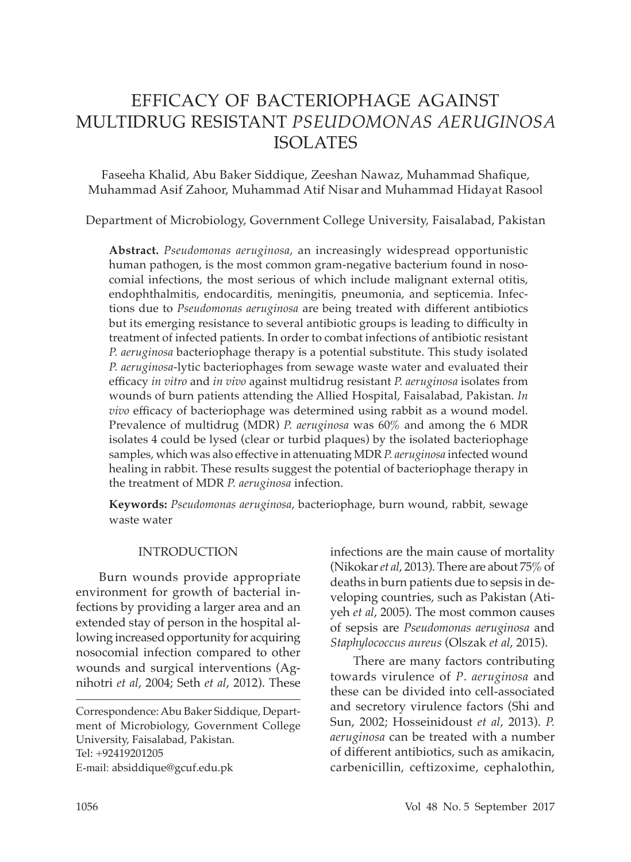# EFFICACY OF BACTERIOPHAGE AGAINST MULTIDRUG RESISTANT *PSEUDOMONAS AERUGINOSA*  ISOLATES

Faseeha Khalid, Abu Baker Siddique, Zeeshan Nawaz, Muhammad Shafique, Muhammad Asif Zahoor, Muhammad Atif Nisar and Muhammad Hidayat Rasool

Department of Microbiology, Government College University, Faisalabad, Pakistan

**Abstract.** *Pseudomonas aeruginosa*, an increasingly widespread opportunistic human pathogen, is the most common gram-negative bacterium found in nosocomial infections, the most serious of which include malignant external otitis, endophthalmitis, endocarditis, meningitis, pneumonia, and septicemia. Infections due to *Pseudomonas aeruginosa* are being treated with different antibiotics but its emerging resistance to several antibiotic groups is leading to difficulty in treatment of infected patients*.* In order to combat infections of antibiotic resistant *P. aeruginosa* bacteriophage therapy is a potential substitute. This study isolated *P. aeruginosa*-lytic bacteriophages from sewage waste water and evaluated their efficacy *in vitro* and *in vivo* against multidrug resistant *P. aeruginosa* isolates from wounds of burn patients attending the Allied Hospital, Faisalabad, Pakistan. *In vivo* efficacy of bacteriophage was determined using rabbit as a wound model. Prevalence of multidrug (MDR) *P. aeruginosa* was 60% and among the 6 MDR isolates 4 could be lysed (clear or turbid plaques) by the isolated bacteriophage samples, which was also effective in attenuating MDR *P. aeruginosa* infected wound healing in rabbit. These results suggest the potential of bacteriophage therapy in the treatment of MDR *P. aeruginosa* infection.

**Keywords:** *Pseudomonas aeruginosa*, bacteriophage, burn wound, rabbit, sewage waste water

### INTRODUCTION

Burn wounds provide appropriate environment for growth of bacterial infections by providing a larger area and an extended stay of person in the hospital allowing increased opportunity for acquiring nosocomial infection compared to other wounds and surgical interventions (Agnihotri *et al*, 2004; Seth *et al*, 2012). These

infections are the main cause of mortality (Nikokar *et al*, 2013). There are about 75% of deaths in burn patients due to sepsis in developing countries, such as Pakistan (Atiyeh *et al*, 2005). The most common causes of sepsis are *Pseudomonas aeruginosa* and *Staphylococcus aureus* (Olszak *et al*, 2015).

There are many factors contributing towards virulence of *P*. *aeruginosa* and these can be divided into cell-associated and secretory virulence factors (Shi and Sun, 2002; Hosseinidoust *et al*, 2013). *P. aeruginosa* can be treated with a number of different antibiotics, such as amikacin, carbenicillin, ceftizoxime, cephalothin,

Correspondence: Abu Baker Siddique, Department of Microbiology, Government College University, Faisalabad, Pakistan. Tel: +92419201205 E-mail: absiddique@gcuf.edu.pk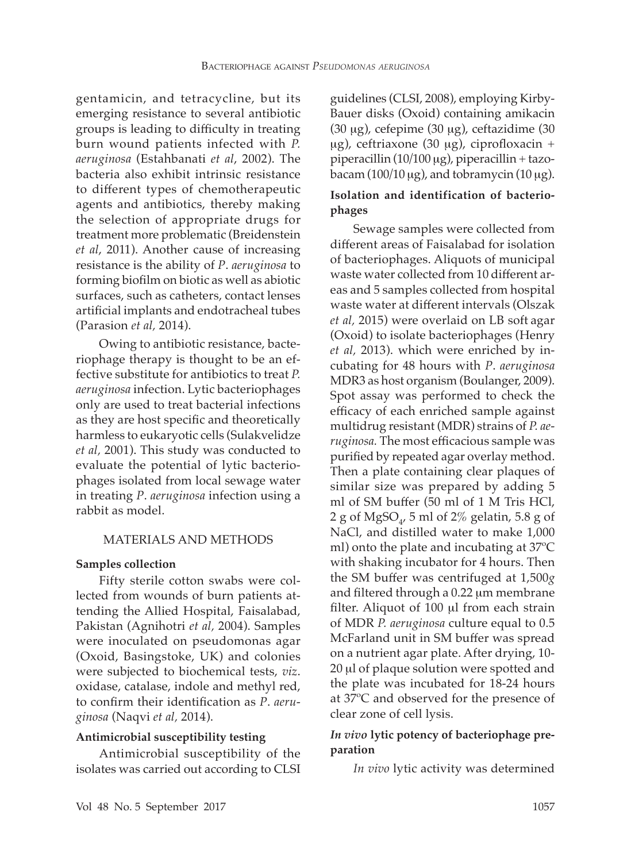gentamicin, and tetracycline, but its emerging resistance to several antibiotic groups is leading to difficulty in treating burn wound patients infected with *P. aeruginosa* (Estahbanati *et al*, 2002). The bacteria also exhibit intrinsic resistance to different types of chemotherapeutic agents and antibiotics, thereby making the selection of appropriate drugs for treatment more problematic (Breidenstein *et al*, 2011). Another cause of increasing resistance is the ability of *P*. *aeruginosa* to forming biofilm on biotic as well as abiotic surfaces, such as catheters, contact lenses artificial implants and endotracheal tubes (Parasion *et al,* 2014).

Owing to antibiotic resistance, bacteriophage therapy is thought to be an effective substitute for antibiotics to treat *P. aeruginosa* infection. Lytic bacteriophages only are used to treat bacterial infections as they are host specific and theoretically harmless to eukaryotic cells (Sulakvelidze *et al,* 2001). This study was conducted to evaluate the potential of lytic bacteriophages isolated from local sewage water in treating *P*. *aeruginosa* infection using a rabbit as model.

### MATERIALS AND METHODS

#### **Samples collection**

Fifty sterile cotton swabs were collected from wounds of burn patients attending the Allied Hospital, Faisalabad, Pakistan (Agnihotri *et al,* 2004). Samples were inoculated on pseudomonas agar (Oxoid, Basingstoke, UK) and colonies were subjected to biochemical tests, *viz*. oxidase, catalase, indole and methyl red, to confirm their identification as *P*. *aeruginosa* (Naqvi *et al,* 2014).

#### **Antimicrobial susceptibility testing**

Antimicrobial susceptibility of the isolates was carried out according to CLSI guidelines (CLSI, 2008), employing Kirby-Bauer disks (Oxoid) containing amikacin (30 µg), cefepime (30 µg), ceftazidime (30 µg), ceftriaxone (30 µg), ciprofloxacin + piperacillin (10*/*100 µg), piperacillin + tazobacam  $(100/10 \,\mu g)$ , and tobramycin  $(10 \,\mu g)$ .

# **Isolation and identification of bacteriophages**

Sewage samples were collected from different areas of Faisalabad for isolation of bacteriophages. Aliquots of municipal waste water collected from 10 different areas and 5 samples collected from hospital waste water at different intervals (Olszak *et al,* 2015) were overlaid on LB soft agar (Oxoid) to isolate bacteriophages (Henry *et al,* 2013). which were enriched by incubating for 48 hours with *P*. *aeruginosa*  MDR3 as host organism (Boulanger, 2009). Spot assay was performed to check the efficacy of each enriched sample against multidrug resistant (MDR) strains of *P. aeruginosa.* The most efficacious sample was purified by repeated agar overlay method. Then a plate containing clear plaques of similar size was prepared by adding 5 ml of SM buffer (50 ml of 1 M Tris HCl, 2 g of MgSO<sub>4</sub>, 5 ml of 2% gelatin, 5.8 g of NaCl, and distilled water to make 1,000 ml) onto the plate and incubating at 37ºC with shaking incubator for 4 hours. Then the SM buffer was centrifuged at 1,500*g*  and filtered through a 0.22 µm membrane filter. Aliquot of 100 µl from each strain of MDR *P. aeruginosa* culture equal to 0.5 McFarland unit in SM buffer was spread on a nutrient agar plate. After drying, 10- 20 µl of plaque solution were spotted and the plate was incubated for 18-24 hours at 37ºC and observed for the presence of clear zone of cell lysis.

# *In vivo* **lytic potency of bacteriophage preparation**

*In vivo* lytic activity was determined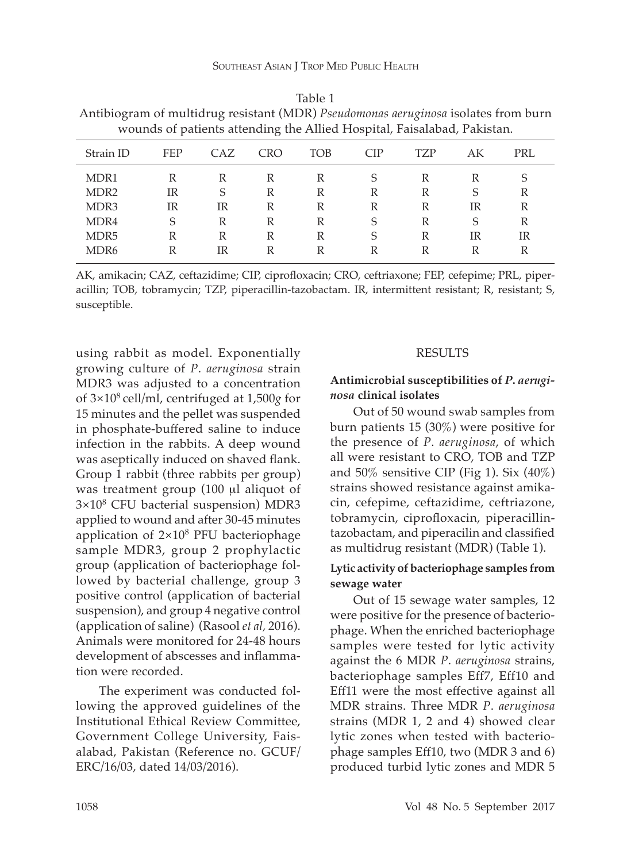| wounds of patients attending the Allied Hospital, Faisalabad, Pakistan. |            |     |            |     |            |     |    |     |
|-------------------------------------------------------------------------|------------|-----|------------|-----|------------|-----|----|-----|
| Strain ID                                                               | <b>FEP</b> | CAZ | <b>CRO</b> | TOB | <b>CIP</b> | TZP | AK | PRL |
| MDR1                                                                    | R          | R   | R          | R   | S          | R   | R  | S   |
| MDR <sub>2</sub>                                                        | IR         | S   | R          | R   | R          | R   | S  | R   |
| MDR <sub>3</sub>                                                        | IR         | IR  | R          | R   | R          | R   | IR | R   |
| MDR4                                                                    | S          | R   | R          | R   | S          | R   | S  | R   |
| MDR <sub>5</sub>                                                        | R          | R   | R          | R   | S          | R   | IR | IR  |
| MDR <sub>6</sub>                                                        | R          | IR  | R          | R   | R          | R   | R  | R   |

| Table 1                                                                            |
|------------------------------------------------------------------------------------|
| Antibiogram of multidrug resistant (MDR) Pseudomonas aeruginosa isolates from burn |
| wounds of patients attending the Allied Hospital, Faisalabad, Pakistan.            |

AK, amikacin; CAZ, ceftazidime; CIP, ciprofloxacin; CRO, ceftriaxone; FEP, cefepime; PRL, piperacillin; TOB, tobramycin; TZP, piperacillin-tazobactam. IR, intermittent resistant; R, resistant; S, susceptible.

using rabbit as model. Exponentially growing culture of *P*. *aeruginosa* strain MDR3 was adjusted to a concentration of 3×108 cell*/*ml, centrifuged at 1,500*g* for 15 minutes and the pellet was suspended in phosphate-buffered saline to induce infection in the rabbits. A deep wound was aseptically induced on shaved flank. Group 1 rabbit (three rabbits per group) was treatment group (100 µl aliquot of 3×108 CFU bacterial suspension) MDR3 applied to wound and after 30-45 minutes application of  $2\times10^8$  PFU bacteriophage sample MDR3, group 2 prophylactic group (application of bacteriophage followed by bacterial challenge, group 3 positive control (application of bacterial suspension), and group 4 negative control (application of saline) (Rasool *et al,* 2016). Animals were monitored for 24-48 hours development of abscesses and inflammation were recorded.

The experiment was conducted following the approved guidelines of the Institutional Ethical Review Committee, Government College University, Faisalabad, Pakistan (Reference no. GCUF*/* ERC*/*16*/*03, dated 14*/*03*/*2016).

### RESULTS

# **Antimicrobial susceptibilities of** *P***.** *aeruginosa* **clinical isolates**

Out of 50 wound swab samples from burn patients 15 (30%) were positive for the presence of *P*. *aeruginosa*, of which all were resistant to CRO, TOB and TZP and  $50\%$  sensitive CIP (Fig 1). Six  $(40\%)$ strains showed resistance against amikacin, cefepime, ceftazidime, ceftriazone, tobramycin, ciprofloxacin, piperacillintazobactam, and piperacilin and classified as multidrug resistant (MDR) (Table 1).

# **Lytic activity of bacteriophage samples from sewage water**

Out of 15 sewage water samples, 12 were positive for the presence of bacteriophage. When the enriched bacteriophage samples were tested for lytic activity against the 6 MDR *P*. *aeruginosa* strains, bacteriophage samples Eff7, Eff10 and Eff11 were the most effective against all MDR strains. Three MDR *P*. *aeruginosa*  strains (MDR 1, 2 and 4) showed clear lytic zones when tested with bacteriophage samples Eff10, two (MDR 3 and 6) produced turbid lytic zones and MDR 5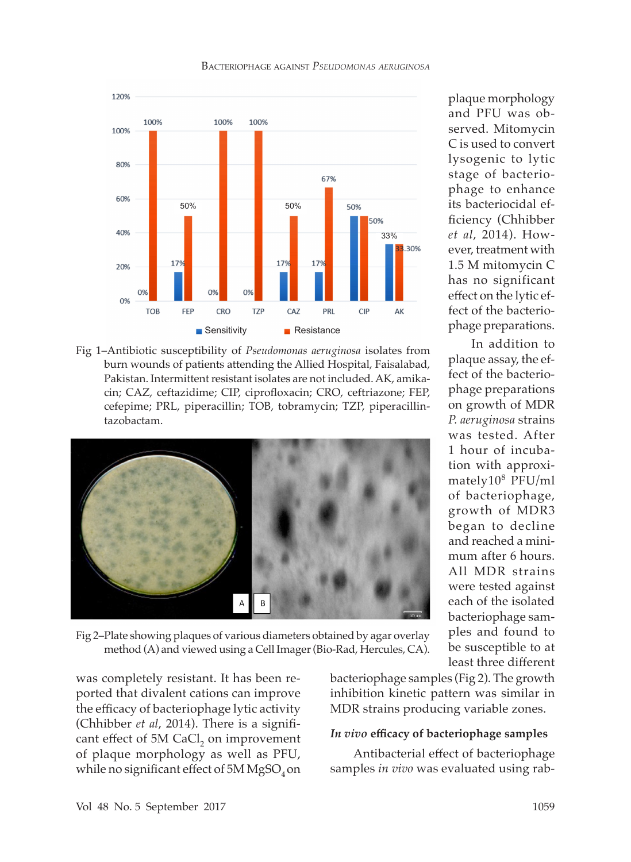

of plaque morphology as well as PFU,

method (A) and viewed using a Cell Imager (Bio-Rad, Hercules, CA).

lysogenic to lytic stage of bacteriophage to enhance its bacteriocidal efficiency (Chhibber *et al*, 2014). However, treatment with 1.5 M mitomycin C has no significant effect on the lytic effect of the bacteriophage preparations. In addition to

plaque morphology and PFU was observed. Mitomycin C is used to convert

plaque assay, the effect of the bacteriophage preparations on growth of MDR *P. aeruginosa* strains was tested. After 1 hour of incubation with approximately108 PFU*/*ml of bacteriophage, growth of MDR3 began to decline and reached a minimum after 6 hours. All MDR strains were tested against each of the isolated bacteriophage samples and found to be susceptible to at least three different





Fig 1–Antibiotic susceptibility of *Pseudomonas aeruginosa* isolates from burn wounds of patients attending the Allied Hospital, Faisalabad, Pakistan. Intermittent resistant isolates are not included. AK, amikacin; CAZ, ceftazidime; CIP, ciprofloxacin; CRO, ceftriazone; FEP, cefepime; PRL, piperacillin; TOB, tobramycin; TZP, piperacillin-

bacteriophage samples (Fig 2). The growth inhibition kinetic pattern was similar in MDR strains producing variable zones.

#### *In vivo* **efficacy of bacteriophage samples**

Antibacterial effect of bacteriophage samples *in vivo* was evaluated using rab-

was completely resistant. It has been reported that divalent cations can improve the efficacy of bacteriophage lytic activity

tazobactam.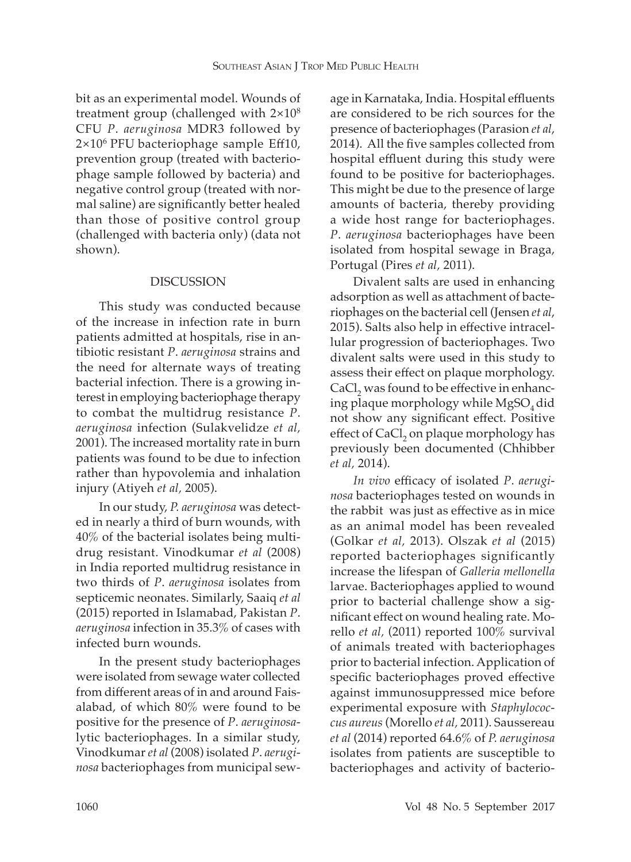bit as an experimental model. Wounds of treatment group (challenged with 2×108 CFU *P*. *aeruginosa* MDR3 followed by  $2\times10^6$  PFU bacteriophage sample Eff10, prevention group (treated with bacteriophage sample followed by bacteria) and negative control group (treated with normal saline) are significantly better healed than those of positive control group (challenged with bacteria only) (data not shown).

# DISCUSSION

This study was conducted because of the increase in infection rate in burn patients admitted at hospitals, rise in antibiotic resistant *P*. *aeruginosa* strains and the need for alternate ways of treating bacterial infection. There is a growing interest in employing bacteriophage therapy to combat the multidrug resistance *P*. *aeruginosa* infection (Sulakvelidze *et al,* 2001). The increased mortality rate in burn patients was found to be due to infection rather than hypovolemia and inhalation injury (Atiyeh *et al,* 2005).

In our study, *P. aeruginosa* was detected in nearly a third of burn wounds, with 40% of the bacterial isolates being multidrug resistant. Vinodkumar *et al* (2008) in India reported multidrug resistance in two thirds of *P*. *aeruginosa* isolates from septicemic neonates. Similarly, Saaiq *et al* (2015) reported in Islamabad, Pakistan *P*. *aeruginosa* infection in 35.3% of cases with infected burn wounds.

In the present study bacteriophages were isolated from sewage water collected from different areas of in and around Faisalabad, of which 80% were found to be positive for the presence of *P*. *aeruginosa*lytic bacteriophages. In a similar study, Vinodkumar *et al* (2008) isolated *P*. *aeruginosa* bacteriophages from municipal sewage in Karnataka, India. Hospital effluents are considered to be rich sources for the presence of bacteriophages (Parasion *et al*, 2014). All the five samples collected from hospital effluent during this study were found to be positive for bacteriophages. This might be due to the presence of large amounts of bacteria, thereby providing a wide host range for bacteriophages. *P*. *aeruginosa* bacteriophages have been isolated from hospital sewage in Braga, Portugal (Pires *et al,* 2011).

Divalent salts are used in enhancing adsorption as well as attachment of bacteriophages on the bacterial cell (Jensen *et al*, 2015). Salts also help in effective intracellular progression of bacteriophages. Two divalent salts were used in this study to assess their effect on plaque morphology.  $CaCl<sub>2</sub>$  was found to be effective in enhancing plaque morphology while  $MgSO<sub>4</sub>$  did not show any significant effect. Positive effect of  $\text{CaCl}_2$  on plaque morphology has previously been documented (Chhibber *et al,* 2014).

*In vivo* efficacy of isolated *P*. *aeruginosa* bacteriophages tested on wounds in the rabbit was just as effective as in mice as an animal model has been revealed (Golkar *et al,* 2013). Olszak *et al* (2015) reported bacteriophages significantly increase the lifespan of *Galleria mellonella*  larvae. Bacteriophages applied to wound prior to bacterial challenge show a significant effect on wound healing rate. Morello *et al,* (2011) reported 100% survival of animals treated with bacteriophages prior to bacterial infection. Application of specific bacteriophages proved effective against immunosuppressed mice before experimental exposure with *Staphylococcus aureus* (Morello *et al,* 2011). Saussereau *et al* (2014) reported 64.6% of *P. aeruginosa*  isolates from patients are susceptible to bacteriophages and activity of bacterio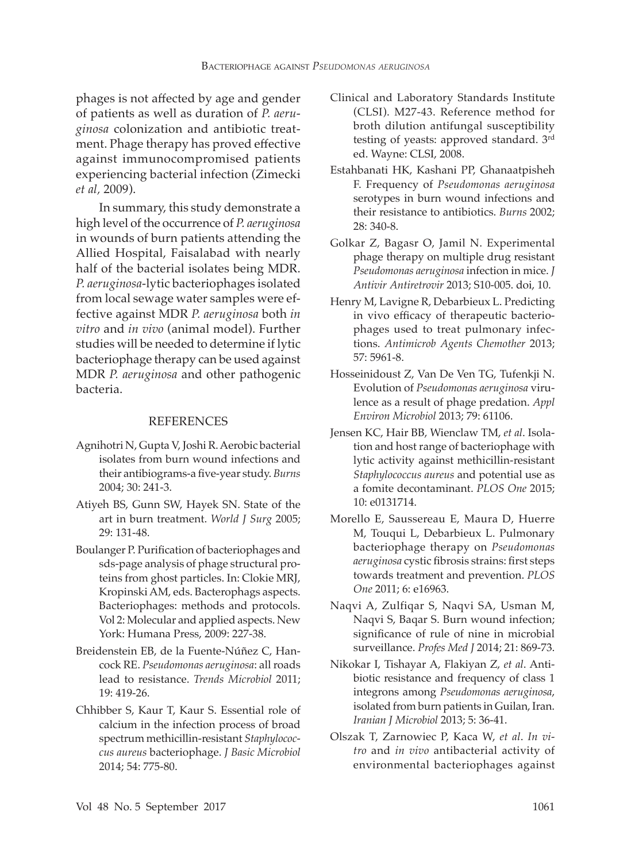phages is not affected by age and gender of patients as well as duration of *P. aeruginosa* colonization and antibiotic treatment. Phage therapy has proved effective against immunocompromised patients experiencing bacterial infection (Zimecki *et al,* 2009).

In summary, this study demonstrate a high level of the occurrence of *P. aeruginosa*  in wounds of burn patients attending the Allied Hospital, Faisalabad with nearly half of the bacterial isolates being MDR. *P. aeruginosa*-lytic bacteriophages isolated from local sewage water samples were effective against MDR *P. aeruginosa* both *in vitro* and *in vivo* (animal model). Further studies will be needed to determine if lytic bacteriophage therapy can be used against MDR *P. aeruginosa* and other pathogenic bacteria.

#### REFERENCES

- Agnihotri N, Gupta V, Joshi R. Aerobic bacterial isolates from burn wound infections and their antibiograms-a five-year study. *Burns* 2004; 30: 241-3.
- Atiyeh BS, Gunn SW, Hayek SN. State of the art in burn treatment. *World J Surg* 2005; 29: 131-48.
- Boulanger P. Purification of bacteriophages and sds-page analysis of phage structural proteins from ghost particles. In: Clokie MRJ, Kropinski AM, eds. Bacterophags aspects. Bacteriophages: methods and protocols. Vol 2: Molecular and applied aspects. New York: Humana Press, 2009: 227-38.
- Breidenstein EB, de la Fuente-Núñez C, Hancock RE. *Pseudomonas aeruginosa*: all roads lead to resistance. *Trends Microbiol* 2011; 19: 419-26.
- Chhibber S, Kaur T, Kaur S. Essential role of calcium in the infection process of broad spectrum methicillin-resistant *Staphylococcus aureus* bacteriophage. *J Basic Microbiol* 2014; 54: 775-80.
- Clinical and Laboratory Standards Institute (CLSI). M27-43. Reference method for broth dilution antifungal susceptibility testing of yeasts: approved standard. 3rd ed. Wayne: CLSI, 2008.
- Estahbanati HK, Kashani PP, Ghanaatpisheh F. Frequency of *Pseudomonas aeruginosa*  serotypes in burn wound infections and their resistance to antibiotics. *Burns* 2002; 28: 340-8.
- Golkar Z, Bagasr O, Jamil N. Experimental phage therapy on multiple drug resistant *Pseudomonas aeruginosa* infection in mice. *J Antivir Antiretrovir* 2013; S10-005. doi, 10.
- Henry M, Lavigne R, Debarbieux L. Predicting in vivo efficacy of therapeutic bacteriophages used to treat pulmonary infections. *Antimicrob Agents Chemother* 2013; 57: 5961-8.
- Hosseinidoust Z, Van De Ven TG, Tufenkji N. Evolution of *Pseudomonas aeruginosa* virulence as a result of phage predation. *Appl Environ Microbiol* 2013; 79: 61106.
- Jensen KC, Hair BB, Wienclaw TM, *et al*. Isolation and host range of bacteriophage with lytic activity against methicillin-resistant *Staphylococcus aureus* and potential use as a fomite decontaminant. *PLOS One* 2015; 10: e0131714.
- Morello E, Saussereau E, Maura D, Huerre M, Touqui L, Debarbieux L. Pulmonary bacteriophage therapy on *Pseudomonas aeruginosa* cystic fibrosis strains: first steps towards treatment and prevention. *PLOS One* 2011; 6: e16963.
- Naqvi A, Zulfiqar S, Naqvi SA, Usman M, Naqvi S, Baqar S. Burn wound infection; significance of rule of nine in microbial surveillance. *Profes Med J* 2014; 21: 869-73.
- Nikokar I, Tishayar A, Flakiyan Z, *et al*. Antibiotic resistance and frequency of class 1 integrons among *Pseudomonas aeruginosa*, isolated from burn patients in Guilan, Iran. *Iranian J Microbiol* 2013; 5: 36-41.
- Olszak T, Zarnowiec P, Kaca W, *et al*. *In vitro* and *in vivo* antibacterial activity of environmental bacteriophages against